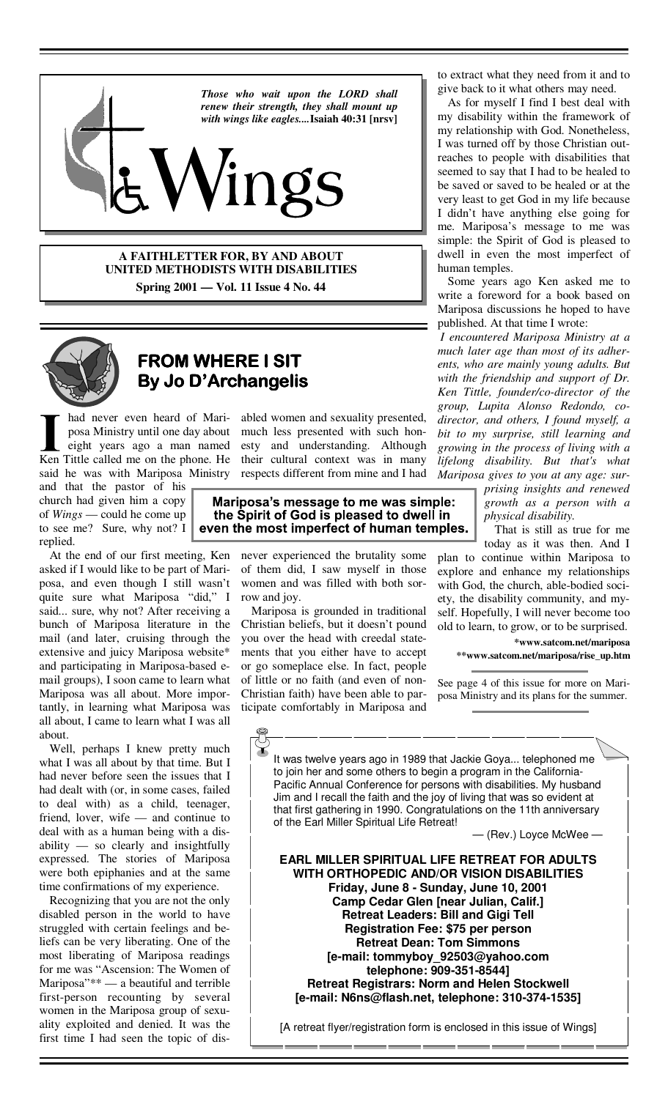

**A FAITHLETTER FOR, BY AND ABOUT UNITED METHODISTS WITH DISABILITIES Spring 2001 — Vol. 11 Issue 4 No. 44** 



# **FROM WHERE I SIT By Jo D'Archangelis**

had never even heard of Mariposa Ministry until one day about eight years ago a man named Ken Tittle called me on the phone. He said he was with Mariposa Ministry

and that the pastor of his church had given him a copy of *Wings* — could he come up to see me? Sure, why not? I replied.

 At the end of our first meeting, Ken asked if I would like to be part of Mariposa, and even though I still wasn't quite sure what Mariposa "did," I said... sure, why not? After receiving a bunch of Mariposa literature in the mail (and later, cruising through the extensive and juicy Mariposa website\* and participating in Mariposa-based email groups), I soon came to learn what Mariposa was all about. More importantly, in learning what Mariposa was all about, I came to learn what I was all about.

 Well, perhaps I knew pretty much what I was all about by that time. But I had never before seen the issues that I had dealt with (or, in some cases, failed to deal with) as a child, teenager, friend, lover, wife — and continue to deal with as a human being with a disability — so clearly and insightfully expressed. The stories of Mariposa were both epiphanies and at the same time confirmations of my experience.

 Recognizing that you are not the only disabled person in the world to have struggled with certain feelings and beliefs can be very liberating. One of the most liberating of Mariposa readings for me was "Ascension: The Women of Mariposa"\*\* — a beautiful and terrible first-person recounting by several women in the Mariposa group of sexuality exploited and denied. It was the first time I had seen the topic of dis-

abled women and sexuality presented, much less presented with such honesty and understanding. Although their cultural context was in many respects different from mine and I had

### Mariposa's message to me was simple: the Spirit of God is pleased to dwell in even the most imperfect of human temples.

never experienced the brutality some of them did, I saw myself in those women and was filled with both sorrow and joy.

 Mariposa is grounded in traditional Christian beliefs, but it doesn't pound you over the head with creedal statements that you either have to accept or go someplace else. In fact, people of little or no faith (and even of non-Christian faith) have been able to participate comfortably in Mariposa and

to extract what they need from it and to give back to it what others may need.

 As for myself I find I best deal with my disability within the framework of my relationship with God. Nonetheless, I was turned off by those Christian outreaches to people with disabilities that seemed to say that I had to be healed to be saved or saved to be healed or at the very least to get God in my life because I didn't have anything else going for me. Mariposa's message to me was simple: the Spirit of God is pleased to dwell in even the most imperfect of human temples.

 Some years ago Ken asked me to write a foreword for a book based on Mariposa discussions he hoped to have published. At that time I wrote:

*I encountered Mariposa Ministry at a much later age than most of its adherents, who are mainly young adults. But with the friendship and support of Dr. Ken Tittle, founder/co-director of the group, Lupita Alonso Redondo, codirector, and others, I found myself, a bit to my surprise, still learning and growing in the process of living with a lifelong disability. But that's what Mariposa gives to you at any age: sur-*

> *prising insights and renewed growth as a person with a physical disability.*

 That is still as true for me today as it was then. And I

plan to continue within Mariposa to explore and enhance my relationships with God, the church, able-bodied society, the disability community, and myself. Hopefully, I will never become too old to learn, to grow, or to be surprised.

**\*www.satcom.net/mariposa \*\*www.satcom.net/mariposa/rise\_up.htm** 

See page 4 of this issue for more on Mariposa Ministry and its plans for the summer.

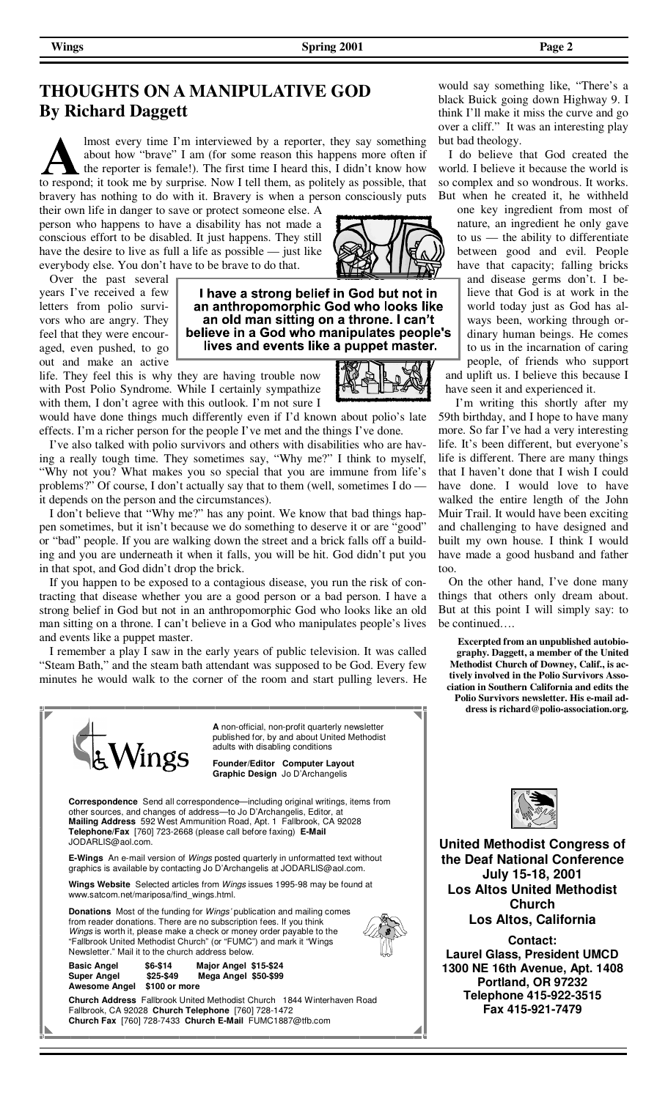## **THOUGHTS ON A MANIPULATIVE GOD By Richard Daggett**

lmost every time I'm interviewed by a reporter, they say something about how "brave" I am (for some reason this happens more often if the reporter is female!). The first time I heard this, I didn't know how to respond; it took me by surprise. Now I tell them, as politely as possible, that bravery has nothing to do with it. Bravery is when a person consciously puts

their own life in danger to save or protect someone else. A person who happens to have a disability has not made a conscious effort to be disabled. It just happens. They still have the desire to live as full a life as possible — just like everybody else. You don't have to be brave to do that.

 Over the past several years I've received a few letters from polio survivors who are angry. They feel that they were encouraged, even pushed, to go out and make an active



life. They feel this is why they are having trouble now with Post Polio Syndrome. While I certainly sympathize with them, I don't agree with this outlook. I'm not sure I



would have done things much differently even if I'd known about polio's late effects. I'm a richer person for the people I've met and the things I've done.

 I've also talked with polio survivors and others with disabilities who are having a really tough time. They sometimes say, "Why me?" I think to myself, "Why not you? What makes you so special that you are immune from life's problems?" Of course, I don't actually say that to them (well, sometimes I do it depends on the person and the circumstances).

 I don't believe that "Why me?" has any point. We know that bad things happen sometimes, but it isn't because we do something to deserve it or are "good" or "bad" people. If you are walking down the street and a brick falls off a building and you are underneath it when it falls, you will be hit. God didn't put you in that spot, and God didn't drop the brick.

 If you happen to be exposed to a contagious disease, you run the risk of contracting that disease whether you are a good person or a bad person. I have a strong belief in God but not in an anthropomorphic God who looks like an old man sitting on a throne. I can't believe in a God who manipulates people's lives and events like a puppet master.

 I remember a play I saw in the early years of public television. It was called "Steam Bath," and the steam bath attendant was supposed to be God. Every few minutes he would walk to the corner of the room and start pulling levers. He



would say something like, "There's a black Buick going down Highway 9. I think I'll make it miss the curve and go over a cliff." It was an interesting play but bad theology.

 I do believe that God created the world. I believe it because the world is so complex and so wondrous. It works. But when he created it, he withheld

one key ingredient from most of nature, an ingredient he only gave to us — the ability to differentiate between good and evil. People have that capacity; falling bricks and disease germs don't. I believe that God is at work in the world today just as God has always been, working through ordinary human beings. He comes to us in the incarnation of caring people, of friends who support and uplift us. I believe this because I have seen it and experienced it.

 I'm writing this shortly after my 59th birthday, and I hope to have many more. So far I've had a very interesting life. It's been different, but everyone's life is different. There are many things that I haven't done that I wish I could have done. I would love to have walked the entire length of the John Muir Trail. It would have been exciting and challenging to have designed and built my own house. I think I would have made a good husband and father too.

 On the other hand, I've done many things that others only dream about. But at this point I will simply say: to be continued….

**Excerpted from an unpublished autobiography. Daggett, a member of the United Methodist Church of Downey, Calif., is actively involved in the Polio Survivors Association in Southern California and edits the Polio Survivors newsletter. His e-mail address is richard@polio-association.org.**



**United Methodist Congress of the Deaf National Conference July 15-18, 2001 Los Altos United Methodist Church Los Altos, California** 

**Contact: Laurel Glass, President UMCD 1300 NE 16th Avenue, Apt. 1408 Portland, OR 97232 Telephone 415-922-3515 Fax 415-921-7479**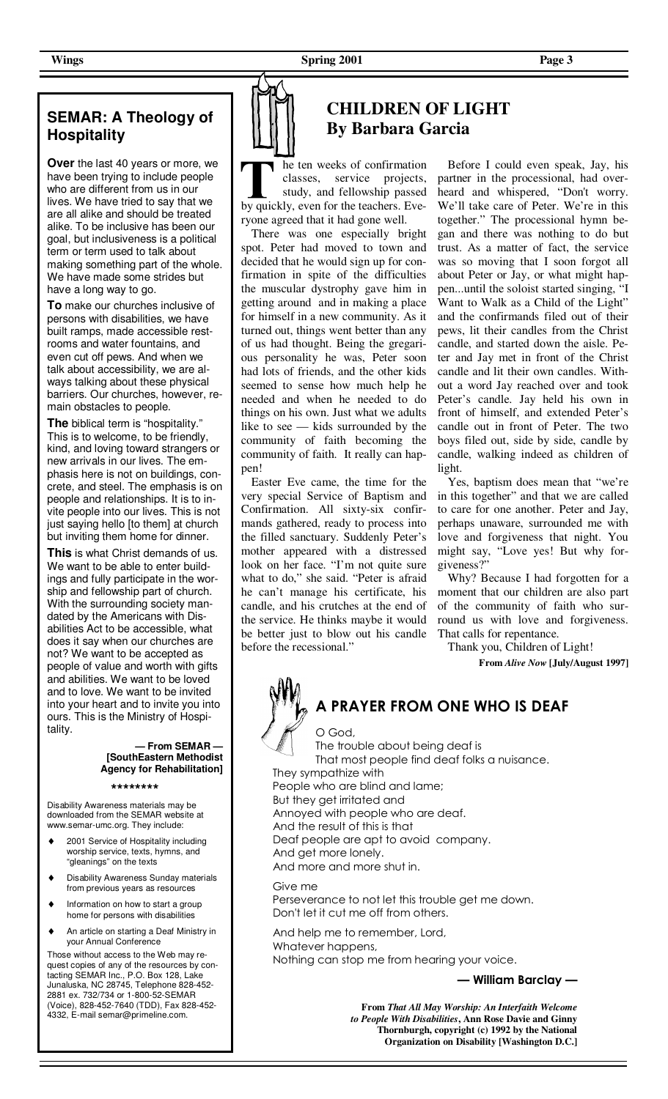### **SEMAR: A Theology of Hospitality**

**Over** the last 40 years or more, we have been trying to include people who are different from us in our lives. We have tried to say that we are all alike and should be treated alike. To be inclusive has been our goal, but inclusiveness is a political term or term used to talk about making something part of the whole. We have made some strides but have a long way to go.

**To** make our churches inclusive of persons with disabilities, we have built ramps, made accessible restrooms and water fountains, and even cut off pews. And when we talk about accessibility, we are always talking about these physical barriers. Our churches, however, remain obstacles to people.

**The** biblical term is "hospitality." This is to welcome, to be friendly, kind, and loving toward strangers or new arrivals in our lives. The emphasis here is not on buildings, concrete, and steel. The emphasis is on people and relationships. It is to invite people into our lives. This is not just saying hello [to them] at church but inviting them home for dinner.

**This** is what Christ demands of us. We want to be able to enter buildings and fully participate in the worship and fellowship part of church. With the surrounding society mandated by the Americans with Disabilities Act to be accessible, what does it say when our churches are not? We want to be accepted as people of value and worth with gifts and abilities. We want to be loved and to love. We want to be invited into your heart and to invite you into ours. This is the Ministry of Hospitality.

#### **— From SEMAR — [SouthEastern Methodist Agency for Rehabilitation]**

**\*\*\*\*\*\*\*\*** 

Disability Awareness materials may be downloaded from the SEMAR website at www.semar-umc.org. They include:

- 2001 Service of Hospitality including worship service, texts, hymns, and "gleanings" on the texts
- ♦ Disability Awareness Sunday materials from previous years as resources
- Information on how to start a group home for persons with disabilities
- An article on starting a Deaf Ministry in your Annual Conference

Those without access to the Web may request copies of any of the resources by contacting SEMAR Inc., P.O. Box 128, Lake Junaluska, NC 28745, Telephone 828-452- 2881 ex. 732/734 or 1-800-52-SEMAR (Voice), 828-452-7640 (TDD), Fax 828-452- 4332, E-mail semar@primeline.com.

# **CHILDREN OF LIGHT By Barbara Garcia**

he ten weeks of confirmation classes, service projects, study, and fellowship passed by quickly, even for the teachers. Everyone agreed that it had gone well.

 There was one especially bright spot. Peter had moved to town and decided that he would sign up for confirmation in spite of the difficulties the muscular dystrophy gave him in getting around and in making a place for himself in a new community. As it turned out, things went better than any of us had thought. Being the gregarious personality he was, Peter soon had lots of friends, and the other kids seemed to sense how much help he needed and when he needed to do things on his own. Just what we adults like to see — kids surrounded by the community of faith becoming the community of faith. It really can happen!

 Easter Eve came, the time for the very special Service of Baptism and Confirmation. All sixty-six confirmands gathered, ready to process into the filled sanctuary. Suddenly Peter's mother appeared with a distressed look on her face. "I'm not quite sure what to do," she said. "Peter is afraid he can't manage his certificate, his candle, and his crutches at the end of the service. He thinks maybe it would be better just to blow out his candle before the recessional.'

 Before I could even speak, Jay, his partner in the processional, had overheard and whispered, "Don't worry. We'll take care of Peter. We're in this together." The processional hymn began and there was nothing to do but trust. As a matter of fact, the service was so moving that I soon forgot all about Peter or Jay, or what might happen...until the soloist started singing, "I Want to Walk as a Child of the Light" and the confirmands filed out of their pews, lit their candles from the Christ candle, and started down the aisle. Peter and Jay met in front of the Christ candle and lit their own candles. Without a word Jay reached over and took Peter's candle. Jay held his own in front of himself, and extended Peter's candle out in front of Peter. The two boys filed out, side by side, candle by candle, walking indeed as children of light.

 Yes, baptism does mean that "we're in this together" and that we are called to care for one another. Peter and Jay, perhaps unaware, surrounded me with love and forgiveness that night. You might say, "Love yes! But why forgiveness?"

 Why? Because I had forgotten for a moment that our children are also part of the community of faith who surround us with love and forgiveness. That calls for repentance.

Thank you, Children of Light!

**From** *Alive Now* **[July/August 1997]**

# **A PRAYER FROM ONE WHO IS DEAF**

O God, The trouble about being deaf is That most people find deaf folks a nuisance. They sympathize with People who are blind and lame; But they get irritated and Annoyed with people who are deaf. And the result of this is that Deaf people are apt to avoid company. And get more lonely. And more and more shut in.

 Give me Perseverance to not let this trouble get me down. Don't let it cut me off from others.

 And help me to remember, Lord, Whatever happens, Nothing can stop me from hearing your voice.

**— William Barclay —** 

**From** *That All May Worship: An Interfaith Welcome to People With Disabilities***, Ann Rose Davie and Ginny Thornburgh, copyright (c) 1992 by the National Organization on Disability [Washington D.C.]**